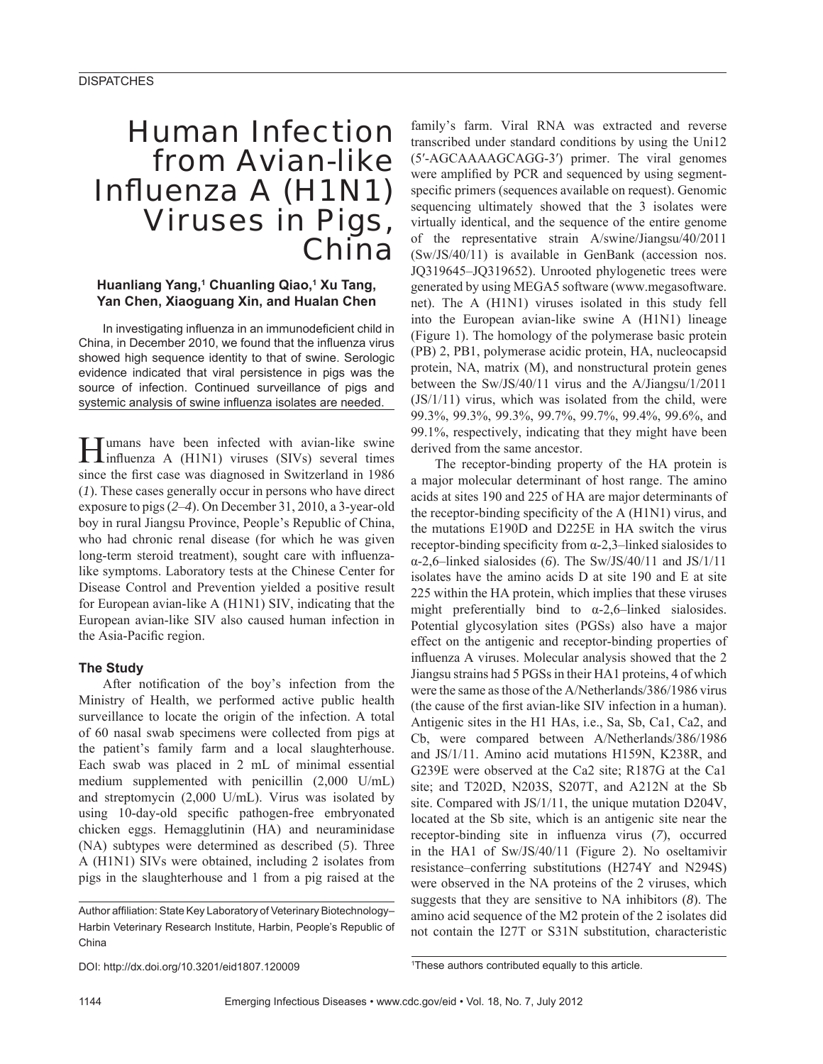# Human Infection from Avian-like Influenza A (H1N1) Viruses in Pigs, China

# Huanliang Yang,<sup>1</sup> Chuanling Qiao,<sup>1</sup> Xu Tang, **Yan Chen, Xiaoguang Xin, and Hualan Chen**

In investigating influenza in an immunodeficient child in China, in December 2010, we found that the influenza virus showed high sequence identity to that of swine. Serologic evidence indicated that viral persistence in pigs was the source of infection. Continued surveillance of pigs and systemic analysis of swine influenza isolates are needed.

Humans have been infected with avian-like swine<br>
influenza A (H1N1) viruses (SIVs) several times since the first case was diagnosed in Switzerland in 1986 (*1*). These cases generally occur in persons who have direct exposure to pigs (*2*–*4*). On December 31, 2010, a 3-year-old boy in rural Jiangsu Province, People's Republic of China, who had chronic renal disease (for which he was given long-term steroid treatment), sought care with influenzalike symptoms. Laboratory tests at the Chinese Center for Disease Control and Prevention yielded a positive result for European avian-like A (H1N1) SIV, indicating that the European avian-like SIV also caused human infection in the Asia-Pacific region.

# **The Study**

After notification of the boy's infection from the Ministry of Health, we performed active public health surveillance to locate the origin of the infection. A total of 60 nasal swab specimens were collected from pigs at the patient's family farm and a local slaughterhouse. Each swab was placed in 2 mL of minimal essential medium supplemented with penicillin (2,000 U/mL) and streptomycin (2,000 U/mL). Virus was isolated by using 10-day-old specific pathogen-free embryonated chicken eggs. Hemagglutinin (HA) and neuraminidase (NA) subtypes were determined as described (*5*). Three A (H1N1) SIVs were obtained, including 2 isolates from pigs in the slaughterhouse and 1 from a pig raised at the

family's farm. Viral RNA was extracted and reverse transcribed under standard conditions by using the Uni12 (5′-AGCAAAAGCAGG-3′) primer. The viral genomes were amplified by PCR and sequenced by using segmentspecific primers (sequences available on request). Genomic sequencing ultimately showed that the 3 isolates were virtually identical, and the sequence of the entire genome of the representative strain A/swine/Jiangsu/40/2011 (Sw/JS/40/11) is available in GenBank (accession nos. JQ319645–JQ319652). Unrooted phylogenetic trees were generated by using MEGA5 software (www.megasoftware. net). The A (H1N1) viruses isolated in this study fell into the European avian-like swine A (H1N1) lineage (Figure 1). The homology of the polymerase basic protein (PB) 2, PB1, polymerase acidic protein, HA, nucleocapsid protein, NA, matrix (M), and nonstructural protein genes between the Sw/JS/40/11 virus and the A/Jiangsu/1/2011 (JS/1/11) virus, which was isolated from the child, were 99.3%, 99.3%, 99.3%, 99.7%, 99.7%, 99.4%, 99.6%, and 99.1%, respectively, indicating that they might have been derived from the same ancestor.

The receptor-binding property of the HA protein is a major molecular determinant of host range. The amino acids at sites 190 and 225 of HA are major determinants of the receptor-binding specificity of the  $A(H1N1)$  virus, and the mutations E190D and D225E in HA switch the virus receptor-binding specificity from  $\alpha$ -2,3–linked sialosides to α-2,6–linked sialosides (*6*). The Sw/JS/40/11 and JS/1/11 isolates have the amino acids D at site 190 and E at site 225 within the HA protein, which implies that these viruses might preferentially bind to  $\alpha$ -2,6–linked sialosides. Potential glycosylation sites (PGSs) also have a major effect on the antigenic and receptor-binding properties of influenza A viruses. Molecular analysis showed that the 2 Jiangsu strains had 5 PGSs in their HA1 proteins, 4 of which were the same as those of the A/Netherlands/386/1986 virus (the cause of the first avian-like SIV infection in a human). Antigenic sites in the H1 HAs, i.e., Sa, Sb, Ca1, Ca2, and Cb, were compared between A/Netherlands/386/1986 and JS/1/11. Amino acid mutations H159N, K238R, and G239E were observed at the Ca2 site; R187G at the Ca1 site; and T202D, N203S, S207T, and A212N at the Sb site. Compared with JS/1/11, the unique mutation D204V, located at the Sb site, which is an antigenic site near the receptor-binding site in influenza virus (7), occurred in the HA1 of Sw/JS/40/11 (Figure 2). No oseltamivir resistance–conferring substitutions (H274Y and N294S) were observed in the NA proteins of the 2 viruses, which suggests that they are sensitive to NA inhibitors (*8*). The amino acid sequence of the M2 protein of the 2 isolates did not contain the I27T or S31N substitution, characteristic

1 These authors contributed equally to this article.

Author affiliation: State Key Laboratory of Veterinary Biotechnology-Harbin Veterinary Research Institute, Harbin, People's Republic of China

DOI: http://dx.doi.org/10.3201/eid1807.120009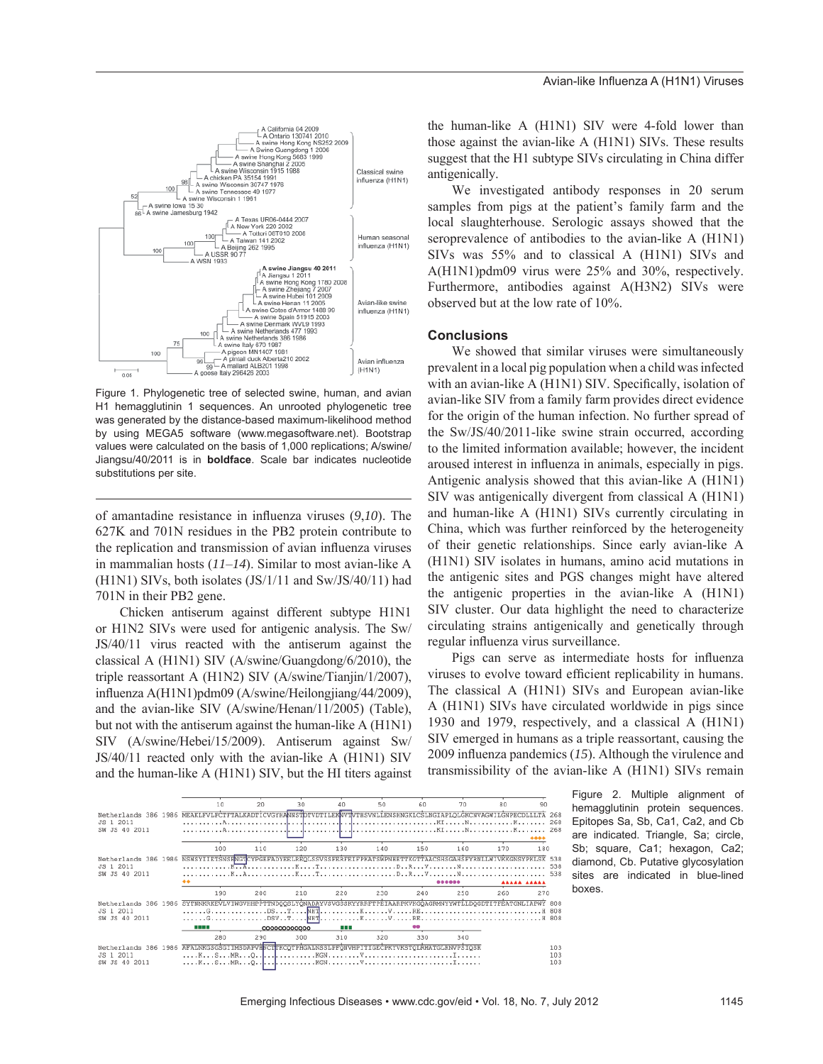

Figure 1. Phylogenetic tree of selected swine, human, and avian H1 hemagglutinin 1 sequences. An unrooted phylogenetic tree was generated by the distance-based maximum-likelihood method by using MEGA5 software (www.megasoftware.net). Bootstrap values were calculated on the basis of 1,000 replications; A/swine/ Jiangsu/40/2011 is in **boldface**. Scale bar indicates nucleotide substitutions per site.

of amantadine resistance in influenza viruses (9,10). The 627K and 701N residues in the PB2 protein contribute to the replication and transmission of avian influenza viruses in mammalian hosts (*11*–*14*). Similar to most avian-like A (H1N1) SIVs, both isolates (JS/1/11 and Sw/JS/40/11) had 701N in their PB2 gene.

Chicken antiserum against different subtype H1N1 or H1N2 SIVs were used for antigenic analysis. The Sw/ JS/40/11 virus reacted with the antiserum against the classical A (H1N1) SIV (A/swine/Guangdong/6/2010), the triple reassortant A (H1N2) SIV (A/swine/Tianjin/1/2007), influenza A(H1N1)pdm09 (A/swine/Heilongjiang/44/2009), and the avian-like SIV (A/swine/Henan/11/2005) (Table), but not with the antiserum against the human-like A (H1N1) SIV (A/swine/Hebei/15/2009). Antiserum against Sw/ JS/40/11 reacted only with the avian-like A (H1N1) SIV and the human-like A (H1N1) SIV, but the HI titers against

the human-like A (H1N1) SIV were 4-fold lower than those against the avian-like A (H1N1) SIVs. These results suggest that the H1 subtype SIVs circulating in China differ antigenically.

We investigated antibody responses in 20 serum samples from pigs at the patient's family farm and the local slaughterhouse. Serologic assays showed that the seroprevalence of antibodies to the avian-like A (H1N1) SIVs was 55% and to classical A (H1N1) SIVs and A(H1N1)pdm09 virus were 25% and 30%, respectively. Furthermore, antibodies against A(H3N2) SIVs were observed but at the low rate of 10%.

## **Conclusions**

We showed that similar viruses were simultaneously prevalent in a local pig population when a child was infected with an avian-like A (H1N1) SIV. Specifically, isolation of avian-like SIV from a family farm provides direct evidence for the origin of the human infection. No further spread of the Sw/JS/40/2011-like swine strain occurred, according to the limited information available; however, the incident aroused interest in influenza in animals, especially in pigs. Antigenic analysis showed that this avian-like A (H1N1) SIV was antigenically divergent from classical A (H1N1) and human-like A (H1N1) SIVs currently circulating in China, which was further reinforced by the heterogeneity of their genetic relationships. Since early avian-like A (H1N1) SIV isolates in humans, amino acid mutations in the antigenic sites and PGS changes might have altered the antigenic properties in the avian-like A (H1N1) SIV cluster. Our data highlight the need to characterize circulating strains antigenically and genetically through regular influenza virus surveillance.

Pigs can serve as intermediate hosts for influenza viruses to evolve toward efficient replicability in humans. The classical A (H1N1) SIVs and European avian-like A (H1N1) SIVs have circulated worldwide in pigs since 1930 and 1979, respectively, and a classical A (H1N1) SIV emerged in humans as a triple reassortant, causing the 2009 influenza pandemics (15). Although the virulence and transmissibility of the avian-like A (H1N1) SIVs remain



Figure 2. Multiple alignment of hemagglutinin protein sequences. Epitopes Sa, Sb, Ca1, Ca2, and Cb are indicated. Triangle, Sa; circle, Sb; square, Ca1; hexagon, Ca2; diamond, Cb. Putative glycosylation sites are indicated in blue-lined boxes.